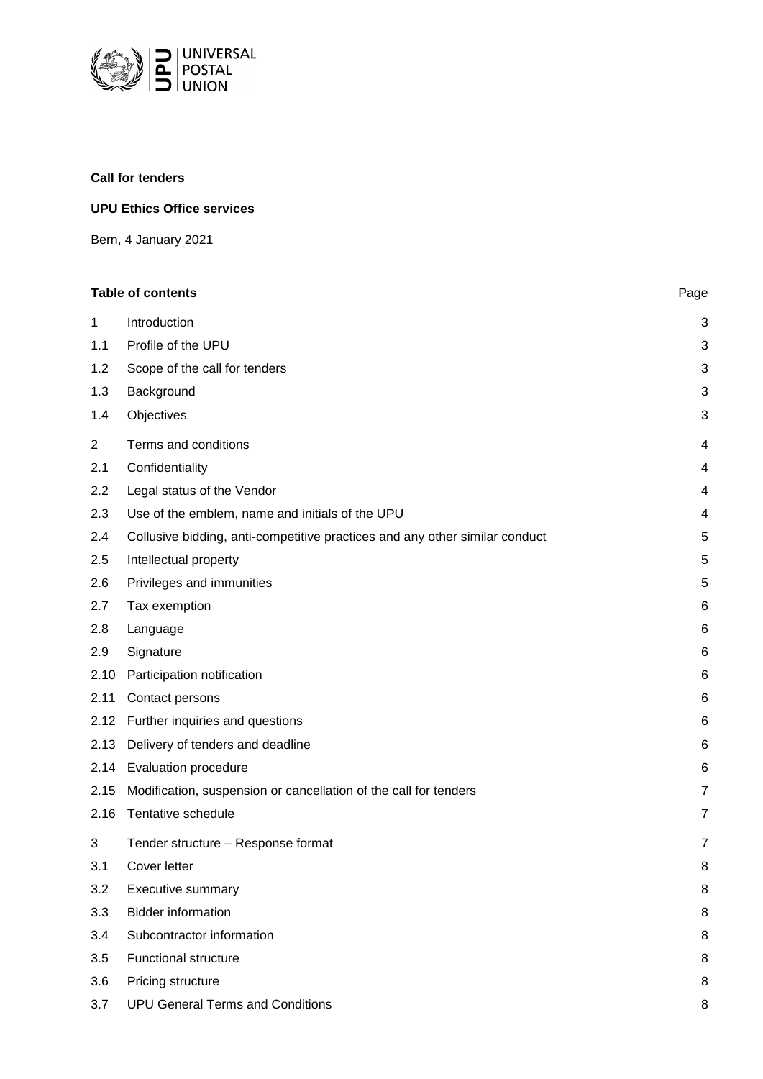

# **Call for tenders**

# **UPU Ethics Office services**

Bern, 4 January 2021

| <b>Table of contents</b><br>Page |                                                                             |                         |
|----------------------------------|-----------------------------------------------------------------------------|-------------------------|
| $\mathbf{1}$                     | Introduction                                                                | 3                       |
| 1.1                              | Profile of the UPU                                                          | $\mathbf{3}$            |
| 1.2                              | Scope of the call for tenders                                               | 3                       |
| 1.3                              | Background                                                                  | $\mathbf{3}$            |
| 1.4                              | Objectives                                                                  | 3                       |
| $\overline{2}$                   | Terms and conditions                                                        | 4                       |
| 2.1                              | Confidentiality                                                             | $\overline{4}$          |
| 2.2                              | Legal status of the Vendor                                                  | 4                       |
| 2.3                              | Use of the emblem, name and initials of the UPU                             | $\overline{\mathbf{4}}$ |
| 2.4                              | Collusive bidding, anti-competitive practices and any other similar conduct | 5                       |
| 2.5                              | Intellectual property                                                       | 5                       |
| 2.6                              | Privileges and immunities                                                   | 5                       |
| 2.7                              | Tax exemption                                                               | 6                       |
| 2.8                              | Language                                                                    | 6                       |
| 2.9                              | Signature                                                                   | 6                       |
| 2.10                             | Participation notification                                                  | 6                       |
| 2.11                             | Contact persons                                                             | 6                       |
| 2.12                             | Further inquiries and questions                                             | 6                       |
| 2.13                             | Delivery of tenders and deadline                                            | 6                       |
| 2.14                             | Evaluation procedure                                                        | 6                       |
| 2.15                             | Modification, suspension or cancellation of the call for tenders            | $\overline{7}$          |
| 2.16                             | Tentative schedule                                                          | 7                       |
| 3                                | Tender structure - Response format                                          | 7                       |
| 3.1                              | Cover letter                                                                | 8                       |
| 3.2                              | Executive summary                                                           | 8                       |
| 3.3                              | <b>Bidder information</b>                                                   | 8                       |
| 3.4                              | Subcontractor information                                                   | 8                       |
| 3.5                              | Functional structure                                                        | 8                       |
| 3.6                              | Pricing structure                                                           | 8                       |
| 3.7                              | <b>UPU General Terms and Conditions</b>                                     | 8                       |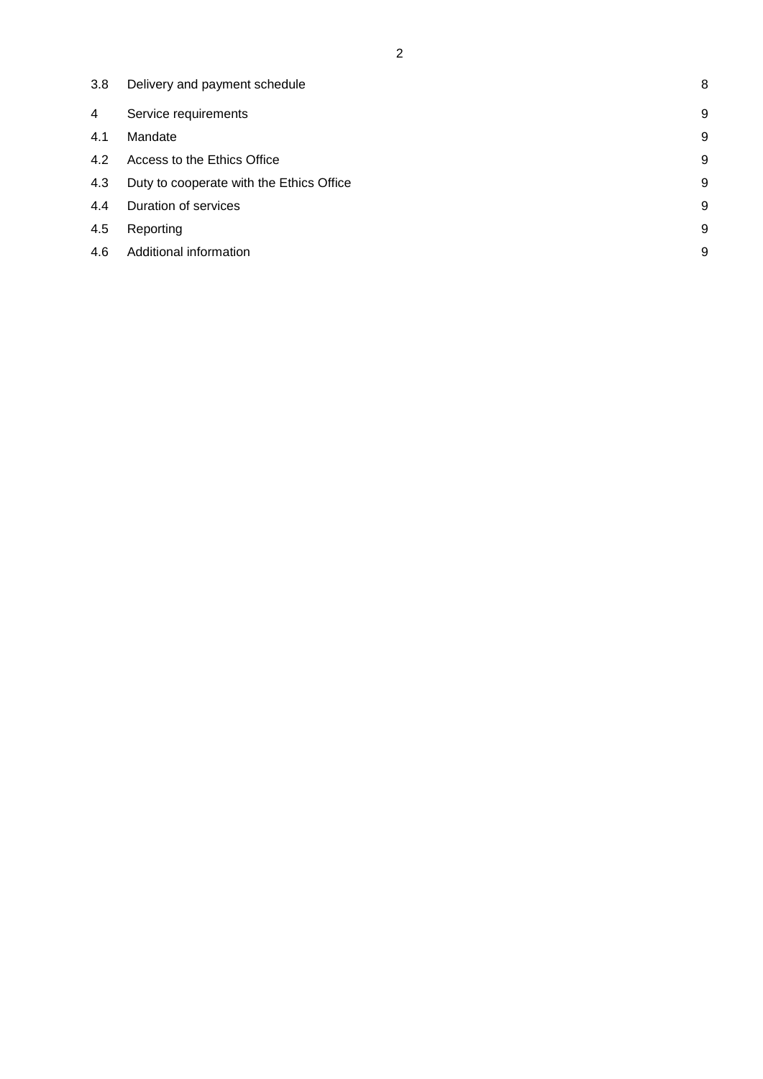| 3.8 | Delivery and payment schedule            | 8 |
|-----|------------------------------------------|---|
| 4   | Service requirements                     | 9 |
| 4.1 | Mandate                                  | 9 |
| 4.2 | Access to the Ethics Office              | 9 |
| 4.3 | Duty to cooperate with the Ethics Office | 9 |
| 4.4 | Duration of services                     | 9 |
| 4.5 | Reporting                                | 9 |
| 4.6 | Additional information                   | 9 |
|     |                                          |   |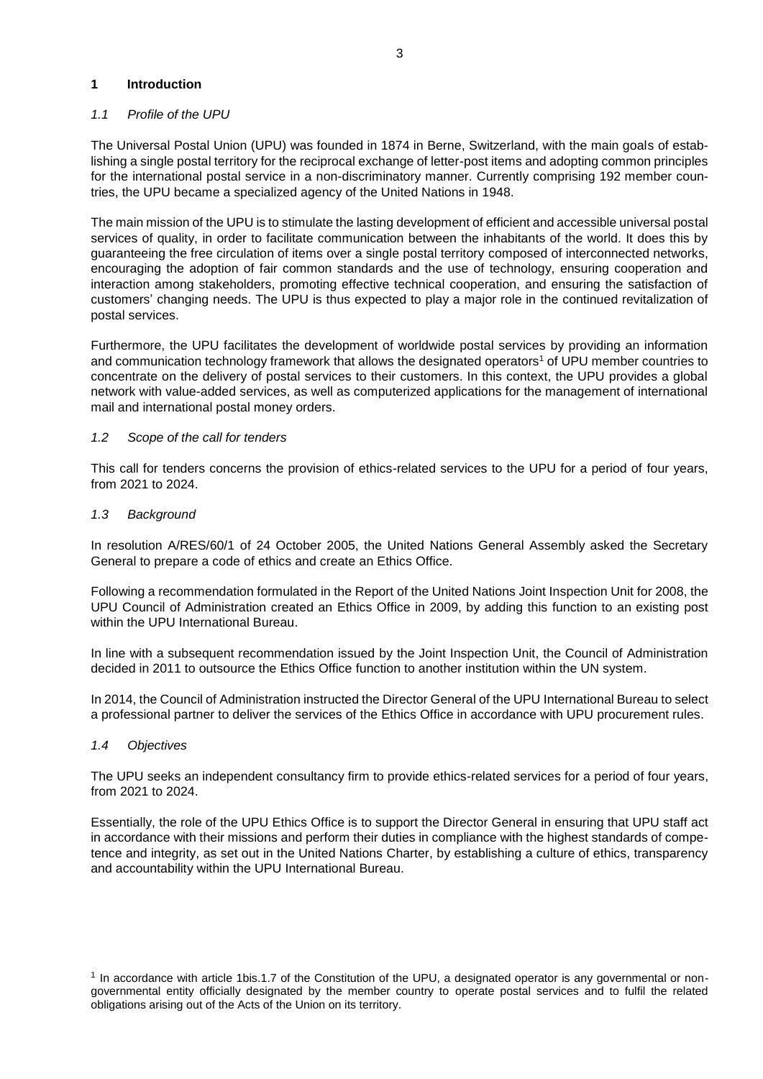### <span id="page-2-0"></span>**1 Introduction**

# <span id="page-2-1"></span>*1.1 Profile of the UPU*

The Universal Postal Union (UPU) was founded in 1874 in Berne, Switzerland, with the main goals of establishing a single postal territory for the reciprocal exchange of letter-post items and adopting common principles for the international postal service in a non-discriminatory manner. Currently comprising 192 member countries, the UPU became a specialized agency of the United Nations in 1948.

The main mission of the UPU is to stimulate the lasting development of efficient and accessible universal postal services of quality, in order to facilitate communication between the inhabitants of the world. It does this by guaranteeing the free circulation of items over a single postal territory composed of interconnected networks, encouraging the adoption of fair common standards and the use of technology, ensuring cooperation and interaction among stakeholders, promoting effective technical cooperation, and ensuring the satisfaction of customers' changing needs. The UPU is thus expected to play a major role in the continued revitalization of postal services.

Furthermore, the UPU facilitates the development of worldwide postal services by providing an information and communication technology framework that allows the designated operators<sup>1</sup> of UPU member countries to concentrate on the delivery of postal services to their customers. In this context, the UPU provides a global network with value-added services, as well as computerized applications for the management of international mail and international postal money orders.

# <span id="page-2-2"></span>*1.2 Scope of the call for tenders*

This call for tenders concerns the provision of ethics-related services to the UPU for a period of four years, from 2021 to 2024.

#### <span id="page-2-3"></span>*1.3 Background*

In resolution A/RES/60/1 of 24 October 2005, the United Nations General Assembly asked the Secretary General to prepare a code of ethics and create an Ethics Office.

Following a recommendation formulated in the Report of the United Nations Joint Inspection Unit for 2008, the UPU Council of Administration created an Ethics Office in 2009, by adding this function to an existing post within the UPU International Bureau.

In line with a subsequent recommendation issued by the Joint Inspection Unit, the Council of Administration decided in 2011 to outsource the Ethics Office function to another institution within the UN system.

In 2014, the Council of Administration instructed the Director General of the UPU International Bureau to select a professional partner to deliver the services of the Ethics Office in accordance with UPU procurement rules.

#### <span id="page-2-4"></span>*1.4 Objectives*

The UPU seeks an independent consultancy firm to provide ethics-related services for a period of four years, from 2021 to 2024.

Essentially, the role of the UPU Ethics Office is to support the Director General in ensuring that UPU staff act in accordance with their missions and perform their duties in compliance with the highest standards of competence and integrity, as set out in the United Nations Charter, by establishing a culture of ethics, transparency and accountability within the UPU International Bureau.

<sup>1</sup> In accordance with article 1bis.1.7 of the Constitution of the UPU, a designated operator is any governmental or nongovernmental entity officially designated by the member country to operate postal services and to fulfil the related obligations arising out of the Acts of the Union on its territory.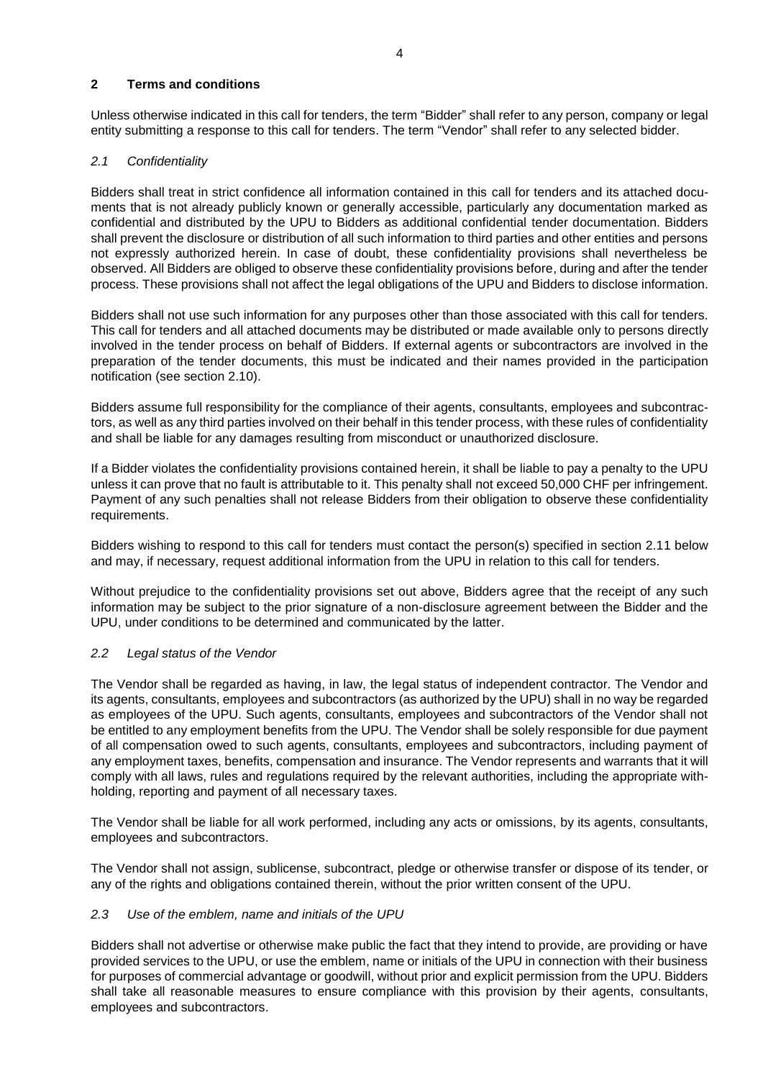# <span id="page-3-0"></span>**2 Terms and conditions**

Unless otherwise indicated in this call for tenders, the term "Bidder" shall refer to any person, company or legal entity submitting a response to this call for tenders. The term "Vendor" shall refer to any selected bidder.

# <span id="page-3-1"></span>*2.1 Confidentiality*

Bidders shall treat in strict confidence all information contained in this call for tenders and its attached documents that is not already publicly known or generally accessible, particularly any documentation marked as confidential and distributed by the UPU to Bidders as additional confidential tender documentation. Bidders shall prevent the disclosure or distribution of all such information to third parties and other entities and persons not expressly authorized herein. In case of doubt, these confidentiality provisions shall nevertheless be observed. All Bidders are obliged to observe these confidentiality provisions before, during and after the tender process. These provisions shall not affect the legal obligations of the UPU and Bidders to disclose information.

Bidders shall not use such information for any purposes other than those associated with this call for tenders. This call for tenders and all attached documents may be distributed or made available only to persons directly involved in the tender process on behalf of Bidders. If external agents or subcontractors are involved in the preparation of the tender documents, this must be indicated and their names provided in the participation notification (see section 2.10).

Bidders assume full responsibility for the compliance of their agents, consultants, employees and subcontractors, as well as any third parties involved on their behalf in this tender process, with these rules of confidentiality and shall be liable for any damages resulting from misconduct or unauthorized disclosure.

If a Bidder violates the confidentiality provisions contained herein, it shall be liable to pay a penalty to the UPU unless it can prove that no fault is attributable to it. This penalty shall not exceed 50,000 CHF per infringement. Payment of any such penalties shall not release Bidders from their obligation to observe these confidentiality requirements.

Bidders wishing to respond to this call for tenders must contact the person(s) specified in section 2.11 below and may, if necessary, request additional information from the UPU in relation to this call for tenders.

Without prejudice to the confidentiality provisions set out above, Bidders agree that the receipt of any such information may be subject to the prior signature of a non-disclosure agreement between the Bidder and the UPU, under conditions to be determined and communicated by the latter.

#### <span id="page-3-2"></span>*2.2 Legal status of the Vendor*

The Vendor shall be regarded as having, in law, the legal status of independent contractor. The Vendor and its agents, consultants, employees and subcontractors (as authorized by the UPU) shall in no way be regarded as employees of the UPU. Such agents, consultants, employees and subcontractors of the Vendor shall not be entitled to any employment benefits from the UPU. The Vendor shall be solely responsible for due payment of all compensation owed to such agents, consultants, employees and subcontractors, including payment of any employment taxes, benefits, compensation and insurance. The Vendor represents and warrants that it will comply with all laws, rules and regulations required by the relevant authorities, including the appropriate withholding, reporting and payment of all necessary taxes.

The Vendor shall be liable for all work performed, including any acts or omissions, by its agents, consultants, employees and subcontractors.

The Vendor shall not assign, sublicense, subcontract, pledge or otherwise transfer or dispose of its tender, or any of the rights and obligations contained therein, without the prior written consent of the UPU.

# <span id="page-3-3"></span>*2.3 Use of the emblem, name and initials of the UPU*

Bidders shall not advertise or otherwise make public the fact that they intend to provide, are providing or have provided services to the UPU, or use the emblem, name or initials of the UPU in connection with their business for purposes of commercial advantage or goodwill, without prior and explicit permission from the UPU. Bidders shall take all reasonable measures to ensure compliance with this provision by their agents, consultants, employees and subcontractors.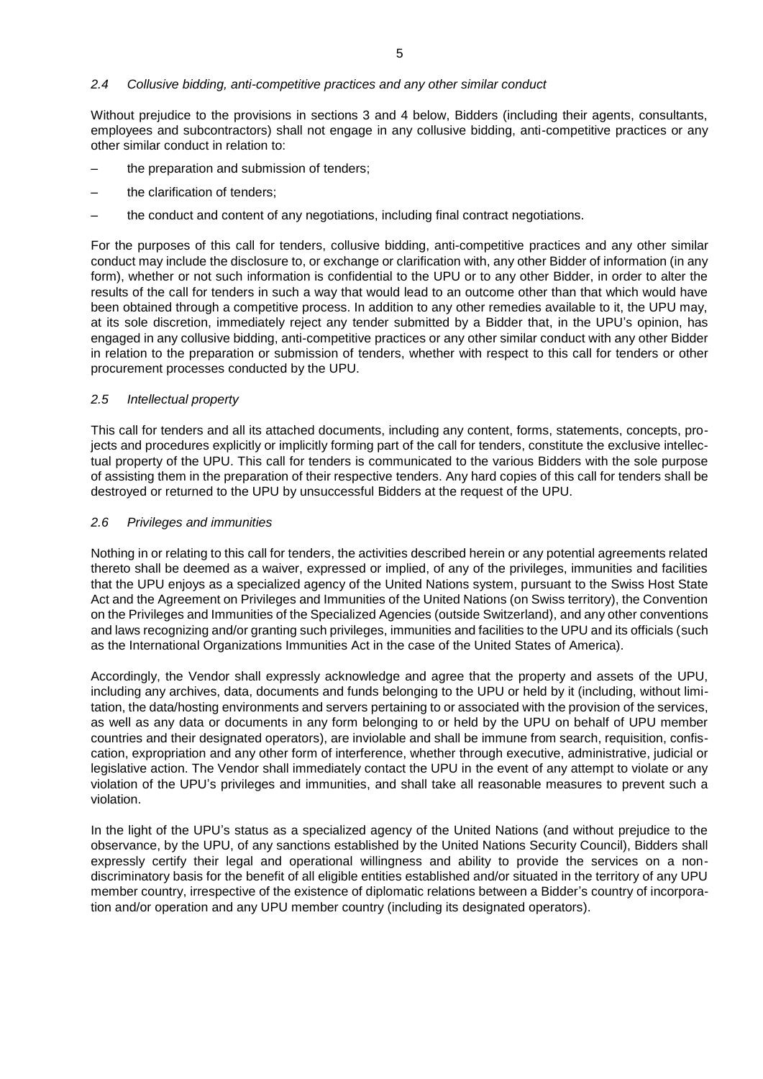#### <span id="page-4-0"></span>*2.4 Collusive bidding, anti-competitive practices and any other similar conduct*

Without prejudice to the provisions in sections 3 and 4 below, Bidders (including their agents, consultants, employees and subcontractors) shall not engage in any collusive bidding, anti-competitive practices or any other similar conduct in relation to:

- the preparation and submission of tenders;
- the clarification of tenders;
- the conduct and content of any negotiations, including final contract negotiations.

For the purposes of this call for tenders, collusive bidding, anti-competitive practices and any other similar conduct may include the disclosure to, or exchange or clarification with, any other Bidder of information (in any form), whether or not such information is confidential to the UPU or to any other Bidder, in order to alter the results of the call for tenders in such a way that would lead to an outcome other than that which would have been obtained through a competitive process. In addition to any other remedies available to it, the UPU may, at its sole discretion, immediately reject any tender submitted by a Bidder that, in the UPU's opinion, has engaged in any collusive bidding, anti-competitive practices or any other similar conduct with any other Bidder in relation to the preparation or submission of tenders, whether with respect to this call for tenders or other procurement processes conducted by the UPU.

#### <span id="page-4-1"></span>*2.5 Intellectual property*

This call for tenders and all its attached documents, including any content, forms, statements, concepts, projects and procedures explicitly or implicitly forming part of the call for tenders, constitute the exclusive intellectual property of the UPU. This call for tenders is communicated to the various Bidders with the sole purpose of assisting them in the preparation of their respective tenders. Any hard copies of this call for tenders shall be destroyed or returned to the UPU by unsuccessful Bidders at the request of the UPU.

#### <span id="page-4-2"></span>*2.6 Privileges and immunities*

Nothing in or relating to this call for tenders, the activities described herein or any potential agreements related thereto shall be deemed as a waiver, expressed or implied, of any of the privileges, immunities and facilities that the UPU enjoys as a specialized agency of the United Nations system, pursuant to the Swiss Host State Act and the Agreement on Privileges and Immunities of the United Nations (on Swiss territory), the Convention on the Privileges and Immunities of the Specialized Agencies (outside Switzerland), and any other conventions and laws recognizing and/or granting such privileges, immunities and facilities to the UPU and its officials (such as the International Organizations Immunities Act in the case of the United States of America).

Accordingly, the Vendor shall expressly acknowledge and agree that the property and assets of the UPU, including any archives, data, documents and funds belonging to the UPU or held by it (including, without limitation, the data/hosting environments and servers pertaining to or associated with the provision of the services, as well as any data or documents in any form belonging to or held by the UPU on behalf of UPU member countries and their designated operators), are inviolable and shall be immune from search, requisition, confiscation, expropriation and any other form of interference, whether through executive, administrative, judicial or legislative action. The Vendor shall immediately contact the UPU in the event of any attempt to violate or any violation of the UPU's privileges and immunities, and shall take all reasonable measures to prevent such a violation.

In the light of the UPU's status as a specialized agency of the United Nations (and without prejudice to the observance, by the UPU, of any sanctions established by the United Nations Security Council), Bidders shall expressly certify their legal and operational willingness and ability to provide the services on a nondiscriminatory basis for the benefit of all eligible entities established and/or situated in the territory of any UPU member country, irrespective of the existence of diplomatic relations between a Bidder's country of incorporation and/or operation and any UPU member country (including its designated operators).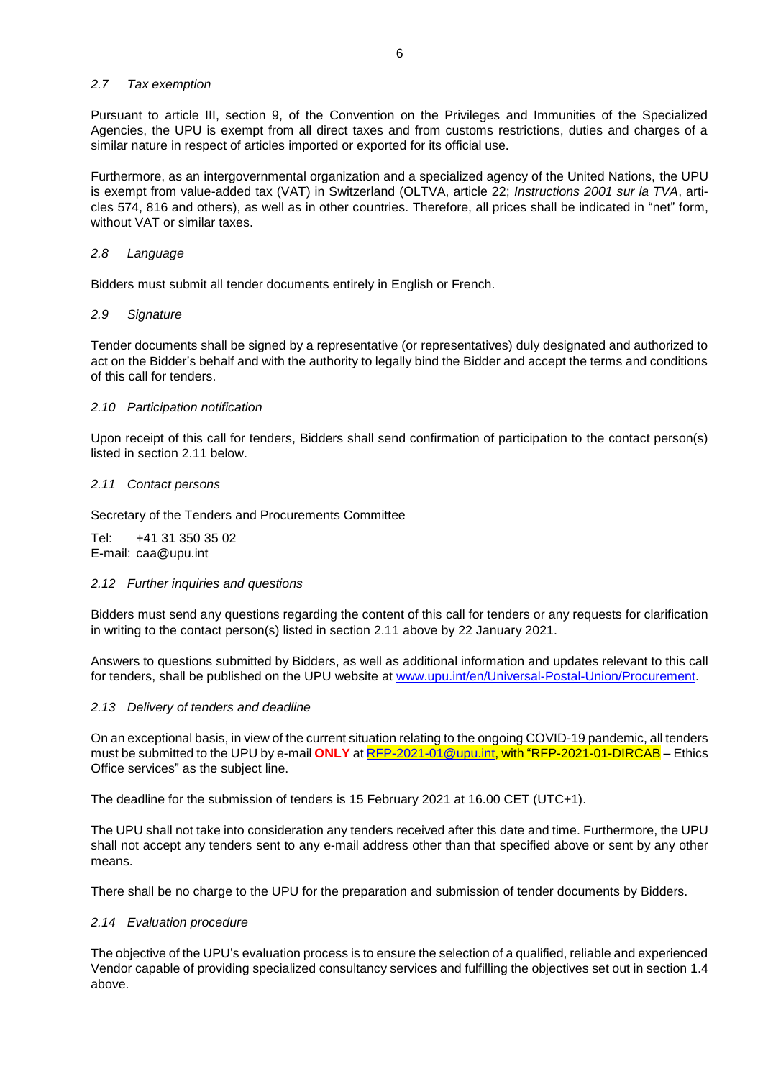### <span id="page-5-0"></span>*2.7 Tax exemption*

Pursuant to article III, section 9, of the Convention on the Privileges and Immunities of the Specialized Agencies, the UPU is exempt from all direct taxes and from customs restrictions, duties and charges of a similar nature in respect of articles imported or exported for its official use.

Furthermore, as an intergovernmental organization and a specialized agency of the United Nations, the UPU is exempt from value-added tax (VAT) in Switzerland (OLTVA, article 22; *Instructions 2001 sur la TVA*, articles 574, 816 and others), as well as in other countries. Therefore, all prices shall be indicated in "net" form, without VAT or similar taxes.

### <span id="page-5-1"></span>*2.8 Language*

Bidders must submit all tender documents entirely in English or French.

# <span id="page-5-2"></span>*2.9 Signature*

Tender documents shall be signed by a representative (or representatives) duly designated and authorized to act on the Bidder's behalf and with the authority to legally bind the Bidder and accept the terms and conditions of this call for tenders.

# <span id="page-5-3"></span>*2.10 Participation notification*

Upon receipt of this call for tenders, Bidders shall send confirmation of participation to the contact person(s) listed in section 2.11 below.

# <span id="page-5-4"></span>*2.11 Contact persons*

Secretary of the Tenders and Procurements Committee

Tel: +41 31 350 35 02 E-mail: [caa@upu.int](mailto:caa@upu.int)

#### <span id="page-5-5"></span>*2.12 Further inquiries and questions*

Bidders must send any questions regarding the content of this call for tenders or any requests for clarification in writing to the contact person(s) listed in section 2.11 above by 22 January 2021.

Answers to questions submitted by Bidders, as well as additional information and updates relevant to this call for tenders, shall be published on the UPU website at [www.upu.int/en/Universal-Postal-Union/Procurement.](http://www.upu.int/en/Universal-Postal-Union/Procurement)

#### <span id="page-5-6"></span>*2.13 Delivery of tenders and deadline*

On an exceptional basis, in view of the current situation relating to the ongoing COVID-19 pandemic, all tenders must be submitted to the UPU by e-mail **ONLY** at [RFP-2021-01@upu.int,](mailto:RFP-2021-01@upu.int) with "RFP-2021-01-DIRCAB – Ethics Office services" as the subject line.

The deadline for the submission of tenders is 15 February 2021 at 16.00 CET (UTC+1).

The UPU shall not take into consideration any tenders received after this date and time. Furthermore, the UPU shall not accept any tenders sent to any e-mail address other than that specified above or sent by any other means.

There shall be no charge to the UPU for the preparation and submission of tender documents by Bidders.

# <span id="page-5-7"></span>*2.14 Evaluation procedure*

The objective of the UPU's evaluation process is to ensure the selection of a qualified, reliable and experienced Vendor capable of providing specialized consultancy services and fulfilling the objectives set out in section 1.4 above.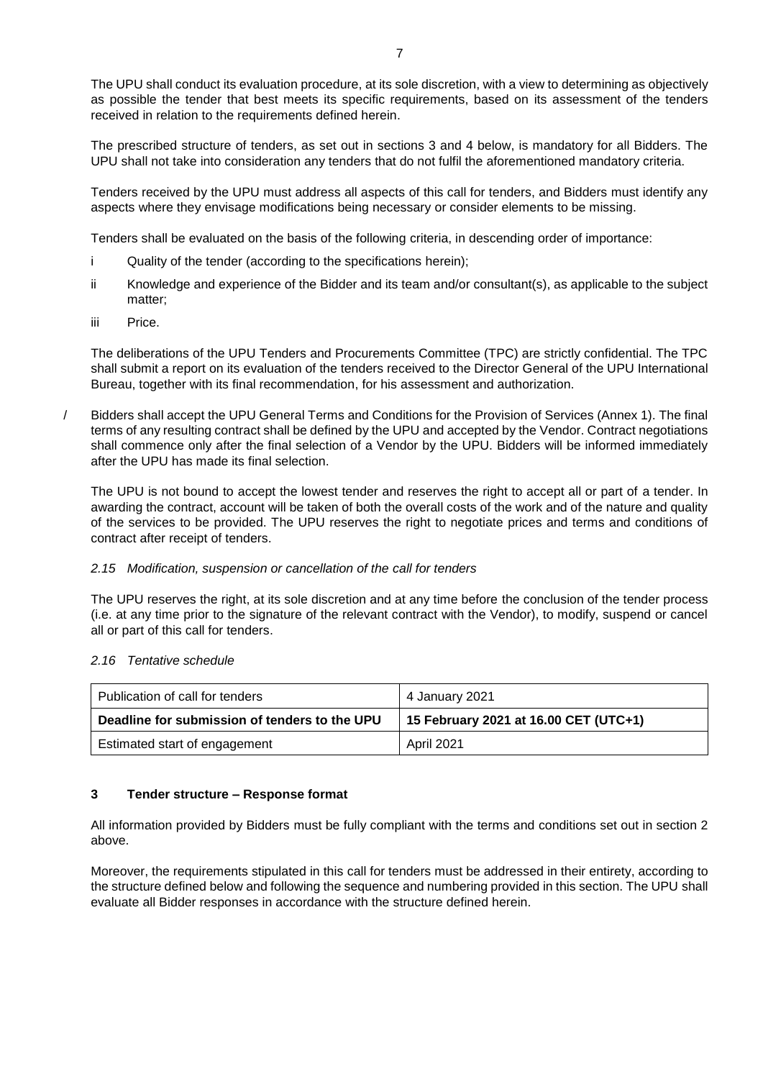The UPU shall conduct its evaluation procedure, at its sole discretion, with a view to determining as objectively as possible the tender that best meets its specific requirements, based on its assessment of the tenders received in relation to the requirements defined herein.

The prescribed structure of tenders, as set out in sections 3 and 4 below, is mandatory for all Bidders. The UPU shall not take into consideration any tenders that do not fulfil the aforementioned mandatory criteria.

Tenders received by the UPU must address all aspects of this call for tenders, and Bidders must identify any aspects where they envisage modifications being necessary or consider elements to be missing.

Tenders shall be evaluated on the basis of the following criteria, in descending order of importance:

- i Quality of the tender (according to the specifications herein);
- ii Knowledge and experience of the Bidder and its team and/or consultant(s), as applicable to the subject matter;
- iii Price.

The deliberations of the UPU Tenders and Procurements Committee (TPC) are strictly confidential. The TPC shall submit a report on its evaluation of the tenders received to the Director General of the UPU International Bureau, together with its final recommendation, for his assessment and authorization.

/ Bidders shall accept the UPU General Terms and Conditions for the Provision of Services (Annex 1). The final terms of any resulting contract shall be defined by the UPU and accepted by the Vendor. Contract negotiations shall commence only after the final selection of a Vendor by the UPU. Bidders will be informed immediately after the UPU has made its final selection.

The UPU is not bound to accept the lowest tender and reserves the right to accept all or part of a tender. In awarding the contract, account will be taken of both the overall costs of the work and of the nature and quality of the services to be provided. The UPU reserves the right to negotiate prices and terms and conditions of contract after receipt of tenders.

# <span id="page-6-0"></span>*2.15 Modification, suspension or cancellation of the call for tenders*

The UPU reserves the right, at its sole discretion and at any time before the conclusion of the tender process (i.e. at any time prior to the signature of the relevant contract with the Vendor), to modify, suspend or cancel all or part of this call for tenders.

#### <span id="page-6-1"></span>*2.16 Tentative schedule*

| Publication of call for tenders               | 4 January 2021                        |  |
|-----------------------------------------------|---------------------------------------|--|
| Deadline for submission of tenders to the UPU | 15 February 2021 at 16.00 CET (UTC+1) |  |
| Estimated start of engagement                 | April 2021                            |  |

# <span id="page-6-2"></span>**3 Tender structure – Response format**

All information provided by Bidders must be fully compliant with the terms and conditions set out in section 2 above.

Moreover, the requirements stipulated in this call for tenders must be addressed in their entirety, according to the structure defined below and following the sequence and numbering provided in this section. The UPU shall evaluate all Bidder responses in accordance with the structure defined herein.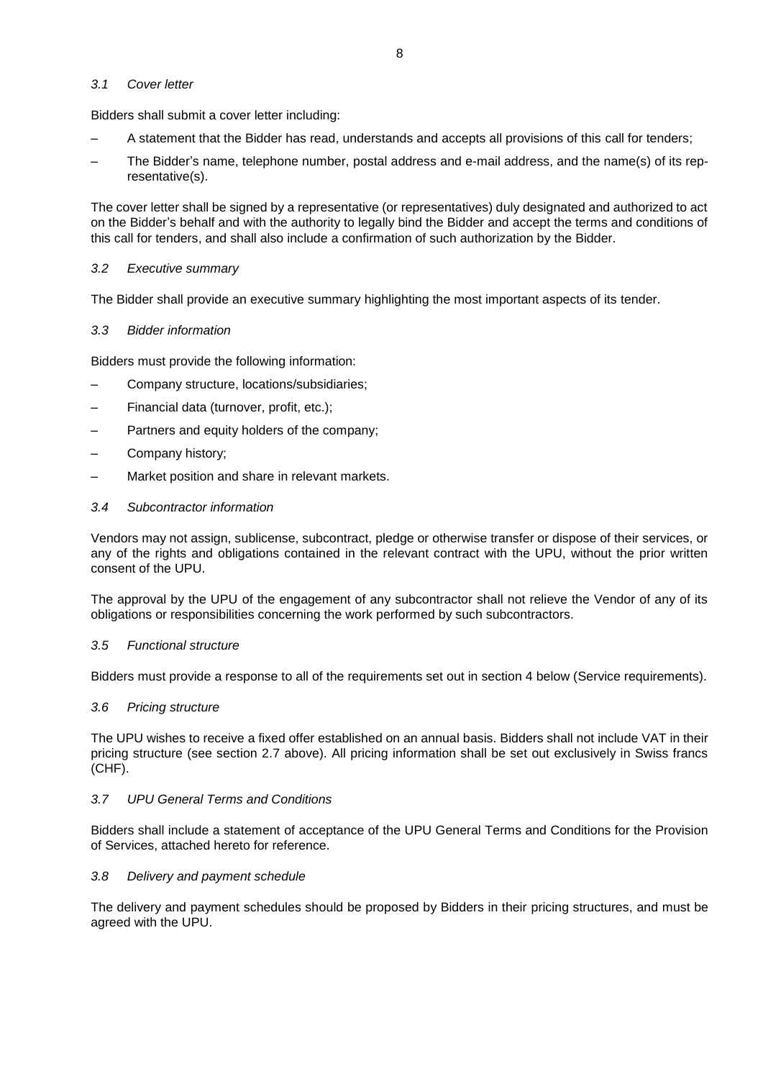### <span id="page-7-0"></span>*3.1 Cover letter*

Bidders shall submit a cover letter including:

- A statement that the Bidder has read, understands and accepts all provisions of this call for tenders;
- The Bidder's name, telephone number, postal address and e-mail address, and the name(s) of its representative(s).

The cover letter shall be signed by a representative (or representatives) duly designated and authorized to act on the Bidder's behalf and with the authority to legally bind the Bidder and accept the terms and conditions of this call for tenders, and shall also include a confirmation of such authorization by the Bidder.

# <span id="page-7-1"></span>*3.2 Executive summary*

The Bidder shall provide an executive summary highlighting the most important aspects of its tender.

# <span id="page-7-2"></span>*3.3 Bidder information*

Bidders must provide the following information:

- Company structure, locations/subsidiaries;
- Financial data (turnover, profit, etc.);
- Partners and equity holders of the company;
- Company history;
- Market position and share in relevant markets.

#### <span id="page-7-3"></span>*3.4 Subcontractor information*

Vendors may not assign, sublicense, subcontract, pledge or otherwise transfer or dispose of their services, or any of the rights and obligations contained in the relevant contract with the UPU, without the prior written consent of the UPU.

The approval by the UPU of the engagement of any subcontractor shall not relieve the Vendor of any of its obligations or responsibilities concerning the work performed by such subcontractors.

#### <span id="page-7-4"></span>*3.5 Functional structure*

Bidders must provide a response to all of the requirements set out in section 4 below (Service requirements).

#### <span id="page-7-5"></span>*3.6 Pricing structure*

The UPU wishes to receive a fixed offer established on an annual basis. Bidders shall not include VAT in their pricing structure (see section 2.7 above). All pricing information shall be set out exclusively in Swiss francs (CHF).

#### <span id="page-7-6"></span>*3.7 UPU General Terms and Conditions*

Bidders shall include a statement of acceptance of the UPU General Terms and Conditions for the Provision of Services, attached hereto for reference.

#### <span id="page-7-7"></span>*3.8 Delivery and payment schedule*

The delivery and payment schedules should be proposed by Bidders in their pricing structures, and must be agreed with the UPU.